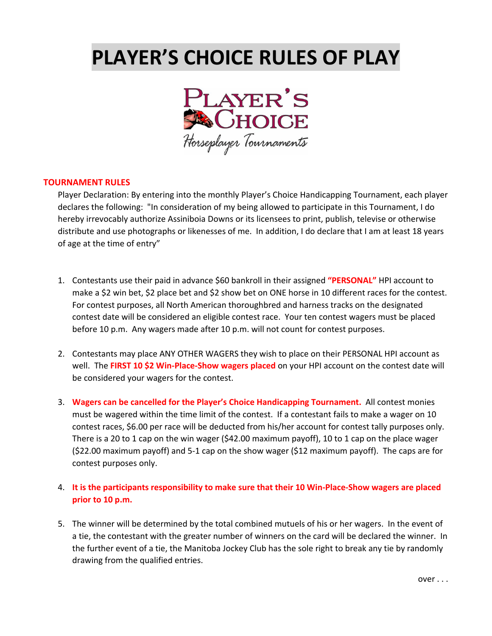## **PLAYER'S CHOICE RULES OF PLAY**



## **TOURNAMENT RULES**

Player Declaration: By entering into the monthly Player's Choice Handicapping Tournament, each player declares the following: "In consideration of my being allowed to participate in this Tournament, I do hereby irrevocably authorize Assiniboia Downs or its licensees to print, publish, televise or otherwise distribute and use photographs or likenesses of me. In addition, I do declare that I am at least 18 years of age at the time of entry"

- 1. Contestants use their paid in advance \$60 bankroll in their assigned **"PERSONAL"** HPI account to make a \$2 win bet, \$2 place bet and \$2 show bet on ONE horse in 10 different races for the contest. For contest purposes, all North American thoroughbred and harness tracks on the designated contest date will be considered an eligible contest race. Your ten contest wagers must be placed before 10 p.m. Any wagers made after 10 p.m. will not count for contest purposes.
- 2. Contestants may place ANY OTHER WAGERS they wish to place on their PERSONAL HPI account as well. The **FIRST 10 \$2 Win‐Place‐Show wagers placed** on your HPI account on the contest date will be considered your wagers for the contest.
- 3. **Wagers can be cancelled for the Player's Choice Handicapping Tournament.** All contest monies must be wagered within the time limit of the contest. If a contestant fails to make a wager on 10 contest races, \$6.00 per race will be deducted from his/her account for contest tally purposes only. There is a 20 to 1 cap on the win wager (\$42.00 maximum payoff), 10 to 1 cap on the place wager (\$22.00 maximum payoff) and 5‐1 cap on the show wager (\$12 maximum payoff). The caps are for contest purposes only.

## 4. It is the participants responsibility to make sure that their 10 Win-Place-Show wagers are placed **prior to 10 p.m.**

5. The winner will be determined by the total combined mutuels of his or her wagers. In the event of a tie, the contestant with the greater number of winners on the card will be declared the winner. In the further event of a tie, the Manitoba Jockey Club has the sole right to break any tie by randomly drawing from the qualified entries.